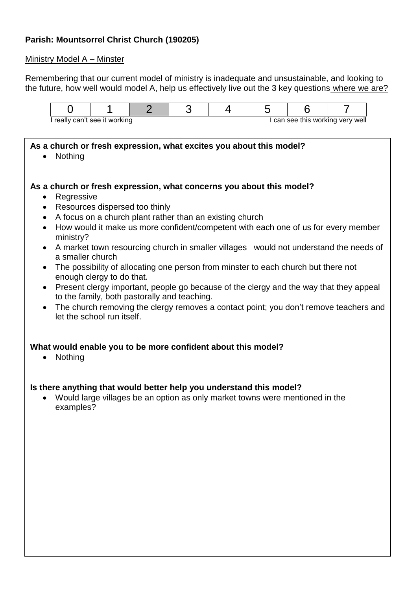## **Parish: Mountsorrel Christ Church (190205)**

#### Ministry Model A – Minster

Remembering that our current model of ministry is inadequate and unsustainable, and looking to the future, how well would model A, help us effectively live out the 3 key questions where we are?



### **As a church or fresh expression, what excites you about this model?**

• Nothing

#### **As a church or fresh expression, what concerns you about this model?**

- Regressive
- Resources dispersed too thinly
- A focus on a church plant rather than an existing church
- How would it make us more confident/competent with each one of us for every member ministry?
- A market town resourcing church in smaller villages would not understand the needs of a smaller church
- The possibility of allocating one person from minster to each church but there not enough clergy to do that.
- Present clergy important, people go because of the clergy and the way that they appeal to the family, both pastorally and teaching.
- The church removing the clergy removes a contact point; you don't remove teachers and let the school run itself.

#### **What would enable you to be more confident about this model?**

• Nothing

#### **Is there anything that would better help you understand this model?**

 Would large villages be an option as only market towns were mentioned in the examples?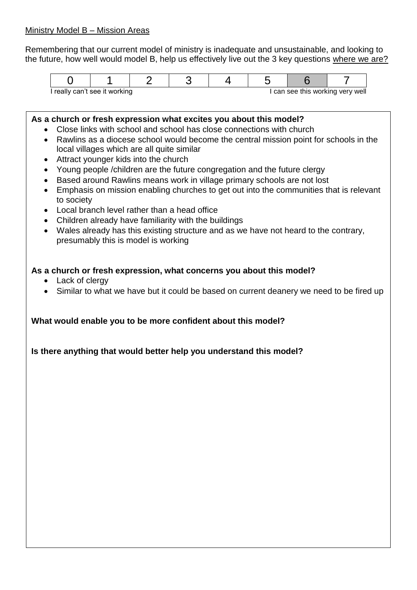Remembering that our current model of ministry is inadequate and unsustainable, and looking to the future, how well would model B, help us effectively live out the 3 key questions where we are?

| I really can't see it working |  |  |  | can see this working very well |  |  |  |  |
|-------------------------------|--|--|--|--------------------------------|--|--|--|--|

### **As a church or fresh expression what excites you about this model?**

- Close links with school and school has close connections with church
- Rawlins as a diocese school would become the central mission point for schools in the local villages which are all quite similar
- Attract younger kids into the church
- Young people /children are the future congregation and the future clergy
- Based around Rawlins means work in village primary schools are not lost
- Emphasis on mission enabling churches to get out into the communities that is relevant to society
- Local branch level rather than a head office
- Children already have familiarity with the buildings
- Wales already has this existing structure and as we have not heard to the contrary, presumably this is model is working

# **As a church or fresh expression, what concerns you about this model?**

- Lack of clergy
- Similar to what we have but it could be based on current deanery we need to be fired up

## **What would enable you to be more confident about this model?**

**Is there anything that would better help you understand this model?**